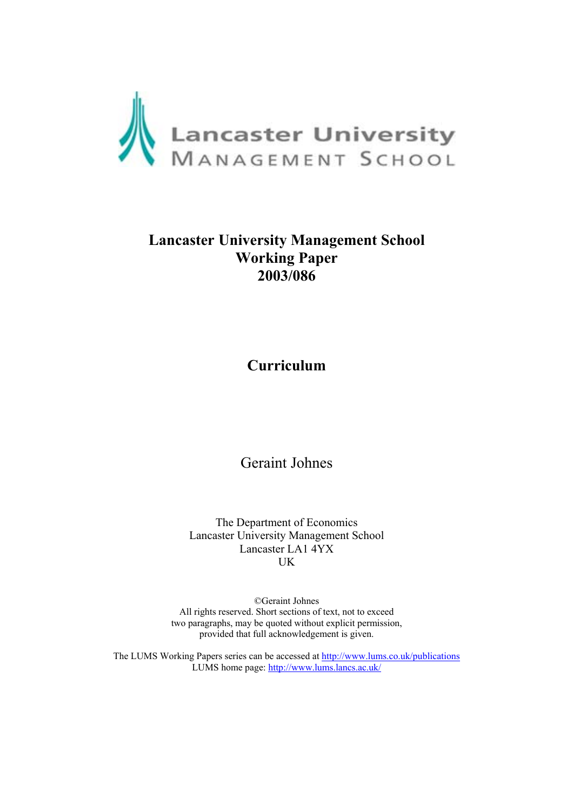

# **Lancaster University Management School Working Paper 2003/086**

**Curriculum** 

Geraint Johnes

The Department of Economics Lancaster University Management School Lancaster LA1 4YX UK

©Geraint Johnes All rights reserved. Short sections of text, not to exceed two paragraphs, may be quoted without explicit permission, provided that full acknowledgement is given.

The LUMS Working Papers series can be accessed at <http://www.lums.co.uk/publications> LUMS home page:<http://www.lums.lancs.ac.uk/>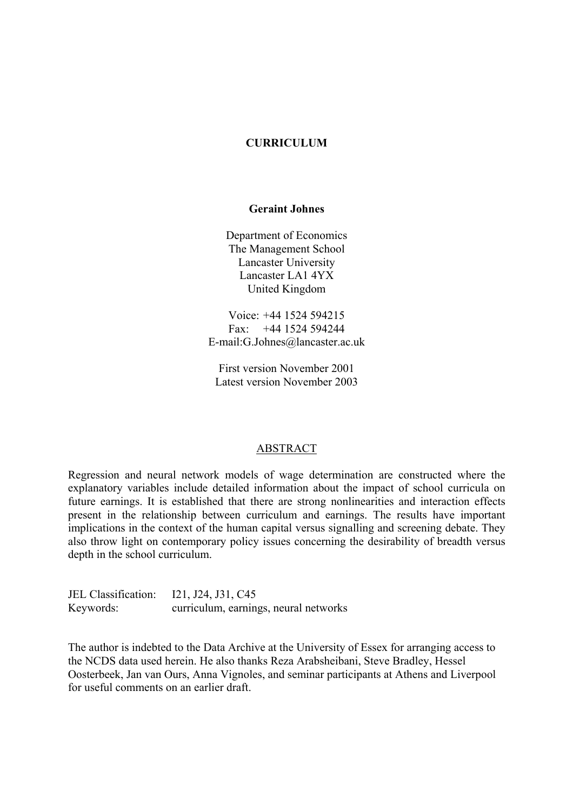#### **CURRICULUM**

### **Geraint Johnes**

Department of Economics The Management School Lancaster University Lancaster LA1 4YX United Kingdom

Voice: +44 1524 594215 Fax:  $+44$  1524 594244 E-mail[:G.Johnes@lancaster.ac.uk](mailto:G.Johnes@lancaster.ac.uk)

First version November 2001 Latest version November 2003

#### ABSTRACT

Regression and neural network models of wage determination are constructed where the explanatory variables include detailed information about the impact of school curricula on future earnings. It is established that there are strong nonlinearities and interaction effects present in the relationship between curriculum and earnings. The results have important implications in the context of the human capital versus signalling and screening debate. They also throw light on contemporary policy issues concerning the desirability of breadth versus depth in the school curriculum.

| JEL Classification: | I21, J24, J31, C45                    |
|---------------------|---------------------------------------|
| Keywords:           | curriculum, earnings, neural networks |

The author is indebted to the Data Archive at the University of Essex for arranging access to the NCDS data used herein. He also thanks Reza Arabsheibani, Steve Bradley, Hessel Oosterbeek, Jan van Ours, Anna Vignoles, and seminar participants at Athens and Liverpool for useful comments on an earlier draft.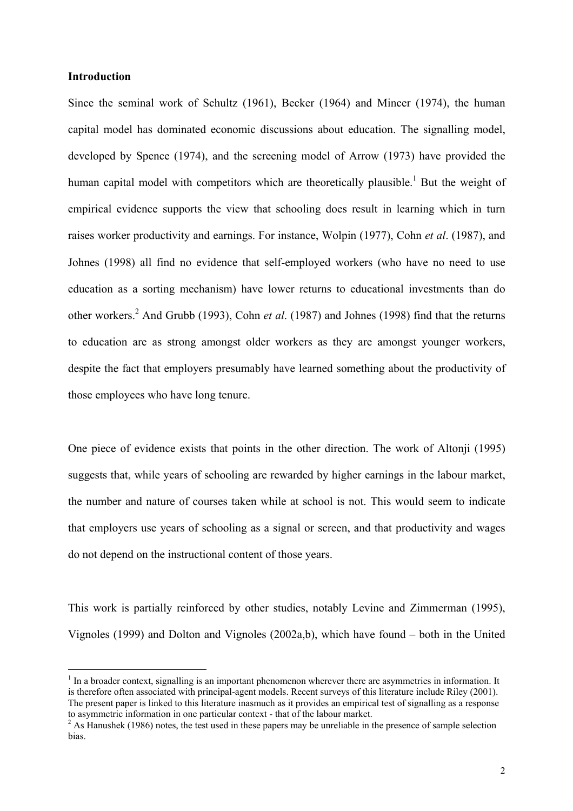#### **Introduction**

 $\overline{a}$ 

Since the seminal work of Schultz (1961), Becker (1964) and Mincer (1974), the human capital model has dominated economic discussions about education. The signalling model, developed by Spence (1974), and the screening model of Arrow (1973) have provided the humancapital model with competitors which are theoretically plausible.<sup>1</sup> But the weight of empirical evidence supports the view that schooling does result in learning which in turn raises worker productivity and earnings. For instance, Wolpin (1977), Cohn *et al*. (1987), and Johnes (1998) all find no evidence that self-employed workers (who have no need to use education as a sorting mechanism) have lower returns to educational investments than do other workers.<sup>2</sup> And Grubb (1993), Cohn *et al.* (1987) and Johnes (1998) find that the returns to education are as strong amongst older workers as they are amongst younger workers, despite the fact that employers presumably have learned something about the productivity of those employees who have long tenure.

One piece of evidence exists that points in the other direction. The work of Altonji (1995) suggests that, while years of schooling are rewarded by higher earnings in the labour market, the number and nature of courses taken while at school is not. This would seem to indicate that employers use years of schooling as a signal or screen, and that productivity and wages do not depend on the instructional content of those years.

This work is partially reinforced by other studies, notably Levine and Zimmerman (1995), Vignoles (1999) and Dolton and Vignoles (2002a,b), which have found – both in the United

<span id="page-2-0"></span> $<sup>1</sup>$  In a broader context, signalling is an important phenomenon wherever there are asymmetries in information. It</sup> is therefore often associated with principal-agent models. Recent surveys of this literature include Riley (2001). The present paper is linked to this literature inasmuch as it provides an empirical test of signalling as a response to asymmetric information in one particular context - that of the labour market. 2

<span id="page-2-1"></span><sup>&</sup>lt;sup>2</sup> As Hanushek (1986) notes, the test used in these papers may be unreliable in the presence of sample selection bias.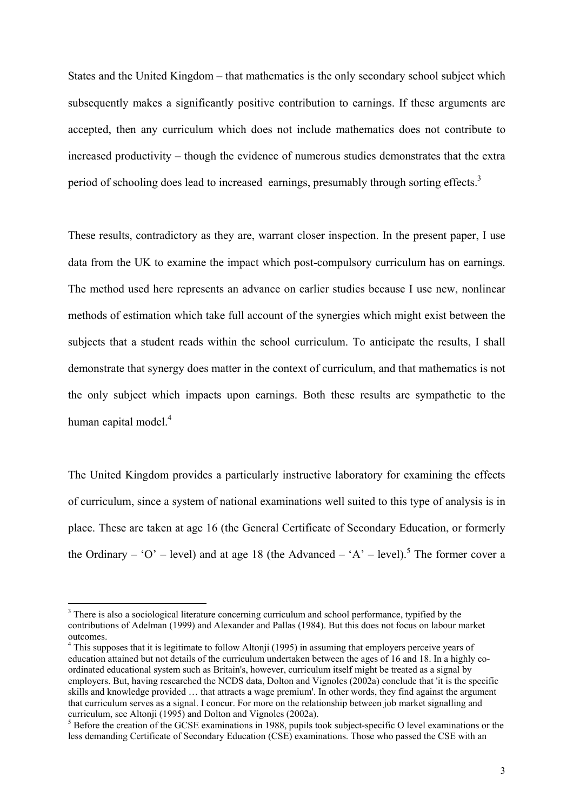<span id="page-3-2"></span>States and the United Kingdom – that mathematics is the only secondary school subject which subsequently makes a significantly positive contribution to earnings. If these arguments are accepted, then any curriculum which does not include mathematics does not contribute to increased productivity – though the evidence of numerous studies demonstrates that the extra period of schooling does lead to increased earnings, presumably through sorting effects.<sup>[3](#page-3-0)</sup>

These results, contradictory as they are, warrant closer inspection. In the present paper, I use data from the UK to examine the impact which post-compulsory curriculum has on earnings. The method used here represents an advance on earlier studies because I use new, nonlinear methods of estimation which take full account of the synergies which might exist between the subjects that a student reads within the school curriculum. To anticipate the results, I shall demonstrate that synergy does matter in the context of curriculum, and that mathematics is not the only subject which impacts upon earnings. Both these results are sympathetic to the human capital model.<sup>4</sup>

The United Kingdom provides a particularly instructive laboratory for examining the effects of curriculum, since a system of national examinations well suited to this type of analysis is in place. These are taken at age 16 (the General Certificate of Secondary Education, or formerly the Ordinary – 'O' – level) and at age 18 (the Advanced – 'A' – level).<sup>5</sup> The former cover a

<span id="page-3-0"></span><sup>&</sup>lt;sup>3</sup> There is also a sociological literature concerning curriculum and school performance, typified by the contributions of Adelman (1999) and Alexander and Pallas (1984). But this does not focus on labour market outcomes. 4

<span id="page-3-1"></span><sup>&</sup>lt;sup>4</sup> This supposes that it is legitimate to follow Altonji (1995) in assuming that employers perceive years of education attained but not details of the curriculum undertaken between the ages of 16 and 18. In a highly coordinated educational system such as Britain's, however, curriculum itself might be treated as a signal by employers. But, having researched the NCDS data, Dolton and Vignoles (2002a) conclude that 'it is the specific skills and knowledge provided … that attracts a wage premium'. In other words, they find against the argument that curriculum serves as a signal. I concur. For more on the relationship between job market signalling and curriculum, see Altonii (1995) and Dolton and Vignoles (2002a).

<sup>&</sup>lt;sup>5</sup> Before the creation of the GCSE examinations in 1988, pupils took subject-specific O level examinations or the less demanding Certificate of Secondary Education (CSE) examinations. Those who passed the CSE with an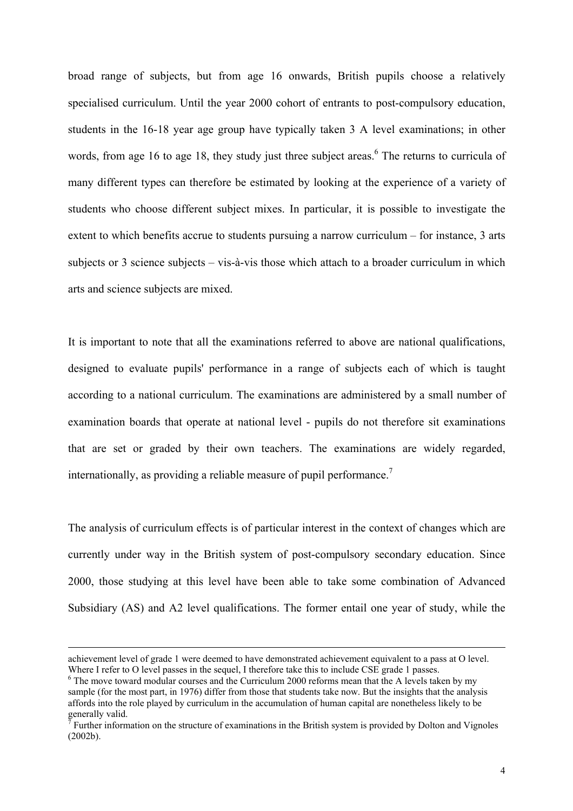broad range of subjects, but from age 16 onwards, British pupils choose a relatively specialised curriculum. Until the year 2000 cohort of entrants to post-compulsory education, students in the 16-18 year age group have typically taken 3 A level examinations; in other words, from age 1[6](#page-4-0) to age 18, they study just three subject areas.<sup>6</sup> The returns to curricula of many different types can therefore be estimated by looking at the experience of a variety of students who choose different subject mixes. In particular, it is possible to investigate the extent to which benefits accrue to students pursuing a narrow curriculum – for instance, 3 arts subjects or 3 science subjects – vis-à-vis those which attach to a broader curriculum in which arts and science subjects are mixed.

It is important to note that all the examinations referred to above are national qualifications, designed to evaluate pupils' performance in a range of subjects each of which is taught according to a national curriculum. The examinations are administered by a small number of examination boards that operate at national level - pupils do not therefore sit examinations that are set or graded by their own teachers. The examinations are widely regarded, internationally, as providing a reliable measure of pupil performance.<sup>[7](#page-4-1)</sup>

The analysis of curriculum effects is of particular interest in the context of changes which are currently under way in the British system of post-compulsory secondary education. Since 2000, those studying at this level have been able to take some combination of Advanced Subsidiary (AS) and A2 level qualifications. The former entail one year of study, while the

achievement level of grade 1 were deemed to have demonstrated achievement equivalent to a pass at O level. Where I refer to O level passes in the sequel, I therefore take this to include CSE grade 1 passes.

<span id="page-4-0"></span><sup>&</sup>lt;sup>6</sup> The move toward modular courses and the Curriculum 2000 reforms mean that the A levels taken by my sample (for the most part, in 1976) differ from those that students take now. But the insights that the analysis affords into the role played by curriculum in the accumulation of human capital are nonetheless likely to be generally valid. 7

<span id="page-4-1"></span>Further information on the structure of examinations in the British system is provided by Dolton and Vignoles (2002b).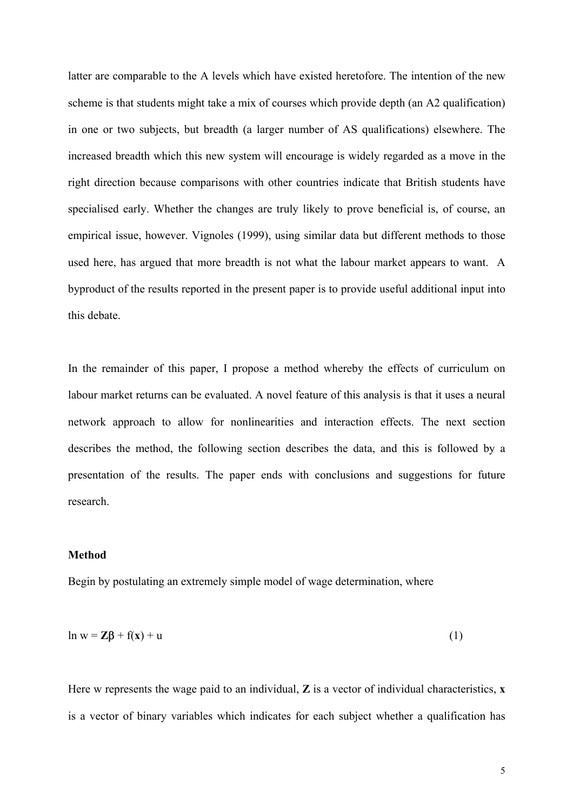latter are comparable to the A levels which have existed heretofore. The intention of the new scheme is that students might take a mix of courses which provide depth (an A2 qualification) in one or two subjects, but breadth (a larger number of AS qualifications) elsewhere. The increased breadth which this new system will encourage is widely regarded as a move in the right direction because comparisons with other countries indicate that British students have specialised early. Whether the changes are truly likely to prove beneficial is, of course, an empirical issue, however. Vignoles (1999), using similar data but different methods to those used here, has argued that more breadth is not what the labour market appears to want. A byproduct of the results reported in the present paper is to provide useful additional input into this debate.

In the remainder of this paper, I propose a method whereby the effects of curriculum on labour market returns can be evaluated. A novel feature of this analysis is that it uses a neural network approach to allow for nonlinearities and interaction effects. The next section describes the method, the following section describes the data, and this is followed by a presentation of the results. The paper ends with conclusions and suggestions for future research.

### **Method**

Begin by postulating an extremely simple model of wage determination, where

$$
\ln w = Z\beta + f(x) + u \tag{1}
$$

Here w represents the wage paid to an individual, **Z** is a vector of individual characteristics, **x** is a vector of binary variables which indicates for each subject whether a qualification has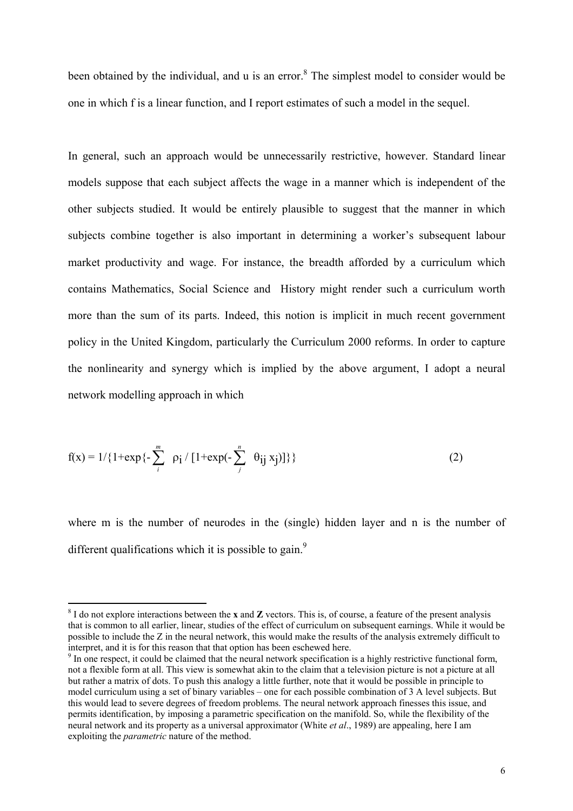been obtained by the individual, and u is an error.<sup>8</sup> The simplest model to consider would be one in which f is a linear function, and I report estimates of such a model in the sequel.

In general, such an approach would be unnecessarily restrictive, however. Standard linear models suppose that each subject affects the wage in a manner which is independent of the other subjects studied. It would be entirely plausible to suggest that the manner in which subjects combine together is also important in determining a worker's subsequent labour market productivity and wage. For instance, the breadth afforded by a curriculum which contains Mathematics, Social Science and History might render such a curriculum worth more than the sum of its parts. Indeed, this notion is implicit in much recent government policy in the United Kingdom, particularly the Curriculum 2000 reforms. In order to capture the nonlinearity and synergy which is implied by the above argument, I adopt a neural network modelling approach in which

$$
f(x) = 1/{1+\exp\{-\sum_{i}^{m} \rho_{i} / [1+\exp(-\sum_{j}^{n} \theta_{ij} x_{j})]\}} \tag{2}
$$

where m is the number of neurodes in the (single) hidden layer and n is the number of different qualifications which it is possible to gain. $9$ 

<span id="page-6-0"></span><sup>8</sup> I do not explore interactions between the **x** and **Z** vectors. This is, of course, a feature of the present analysis that is common to all earlier, linear, studies of the effect of curriculum on subsequent earnings. While it would be possible to include the Z in the neural network, this would make the results of the analysis extremely difficult to interpret, and it is for this reason that that option has been eschewed here.

<span id="page-6-1"></span><sup>&</sup>lt;sup>9</sup> In one respect, it could be claimed that the neural network specification is a highly restrictive functional form, not a flexible form at all. This view is somewhat akin to the claim that a television picture is not a picture at all but rather a matrix of dots. To push this analogy a little further, note that it would be possible in principle to model curriculum using a set of binary variables – one for each possible combination of 3 A level subjects. But this would lead to severe degrees of freedom problems. The neural network approach finesses this issue, and permits identification, by imposing a parametric specification on the manifold. So, while the flexibility of the neural network and its property as a universal approximator (White *et al*., 1989) are appealing, here I am exploiting the *parametric* nature of the method.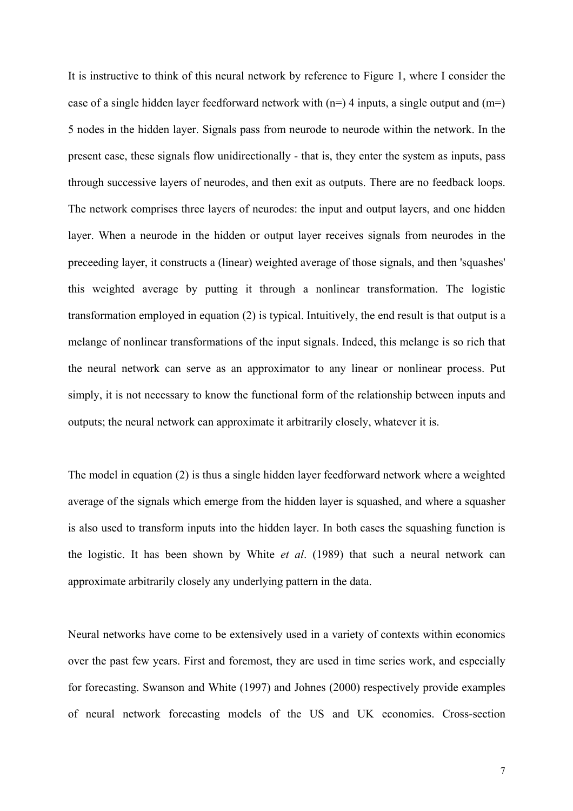It is instructive to think of this neural network by reference to Figure 1, where I consider the case of a single hidden layer feedforward network with  $(n=)$  4 inputs, a single output and  $(m=)$ 5 nodes in the hidden layer. Signals pass from neurode to neurode within the network. In the present case, these signals flow unidirectionally - that is, they enter the system as inputs, pass through successive layers of neurodes, and then exit as outputs. There are no feedback loops. The network comprises three layers of neurodes: the input and output layers, and one hidden layer. When a neurode in the hidden or output layer receives signals from neurodes in the preceeding layer, it constructs a (linear) weighted average of those signals, and then 'squashes' this weighted average by putting it through a nonlinear transformation. The logistic transformation employed in equation (2) is typical. Intuitively, the end result is that output is a melange of nonlinear transformations of the input signals. Indeed, this melange is so rich that the neural network can serve as an approximator to any linear or nonlinear process. Put simply, it is not necessary to know the functional form of the relationship between inputs and outputs; the neural network can approximate it arbitrarily closely, whatever it is.

The model in equation (2) is thus a single hidden layer feedforward network where a weighted average of the signals which emerge from the hidden layer is squashed, and where a squasher is also used to transform inputs into the hidden layer. In both cases the squashing function is the logistic. It has been shown by White *et al*. (1989) that such a neural network can approximate arbitrarily closely any underlying pattern in the data.

Neural networks have come to be extensively used in a variety of contexts within economics over the past few years. First and foremost, they are used in time series work, and especially for forecasting. Swanson and White (1997) and Johnes (2000) respectively provide examples of neural network forecasting models of the US and UK economies. Cross-section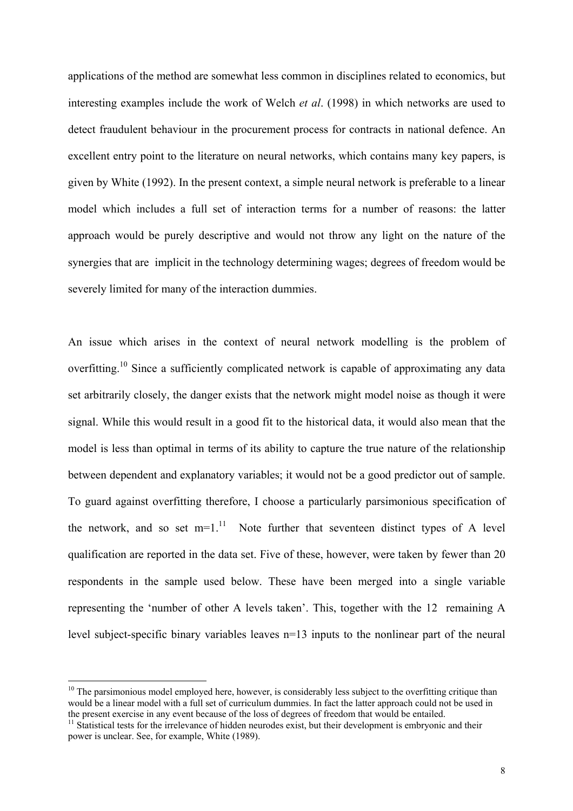applications of the method are somewhat less common in disciplines related to economics, but interesting examples include the work of Welch *et al*. (1998) in which networks are used to detect fraudulent behaviour in the procurement process for contracts in national defence. An excellent entry point to the literature on neural networks, which contains many key papers, is given by White (1992). In the present context, a simple neural network is preferable to a linear model which includes a full set of interaction terms for a number of reasons: the latter approach would be purely descriptive and would not throw any light on the nature of the synergies that are implicit in the technology determining wages; degrees of freedom would be severely limited for many of the interaction dummies.

An issue which arises in the context of neural network modelling is the problem of overfitting.<sup>10</sup> Since a sufficiently complicated network is capable of approximating any data set arbitrarily closely, the danger exists that the network might model noise as though it were signal. While this would result in a good fit to the historical data, it would also mean that the model is less than optimal in terms of its ability to capture the true nature of the relationship between dependent and explanatory variables; it would not be a good predictor out of sample. To guard against overfitting therefore, I choose a particularly parsimonious specification of the network, and so set  $m=1$ .<sup>11</sup> Note further that seventeen distinct types of A level qualification are reported in the data set. Five of these, however, were taken by fewer than 20 respondents in the sample used below. These have been merged into a single variable representing the 'number of other A levels taken'. This, together with the 12 remaining A level subject-specific binary variables leaves n=13 inputs to the nonlinear part of the neural

<span id="page-8-0"></span> $10$  The parsimonious model employed here, however, is considerably less subject to the overfitting critique than would be a linear model with a full set of curriculum dummies. In fact the latter approach could not be used in the present exercise in any event because of the loss of degrees of freedom that would be entailed.

<span id="page-8-1"></span> $11$  Statistical tests for the irrelevance of hidden neurodes exist, but their development is embryonic and their power is unclear. See, for example, White (1989).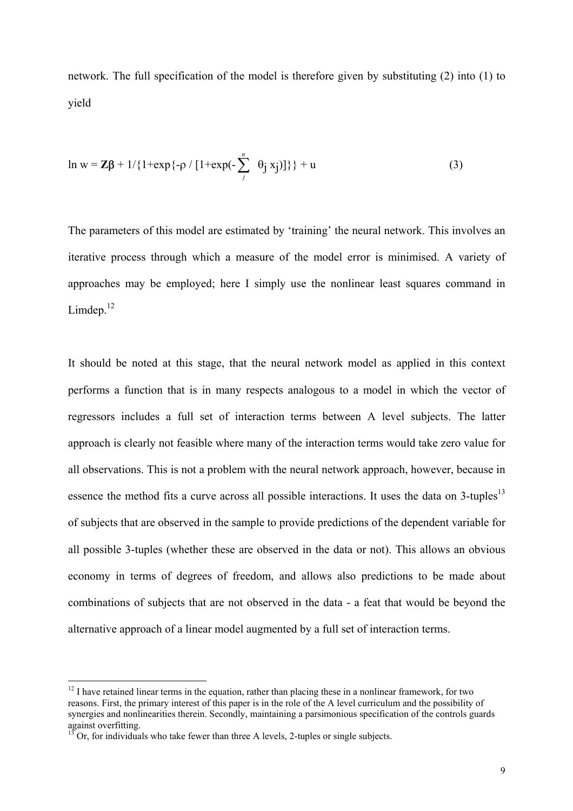network. The full specification of the model is therefore given by substituting (2) into (1) to yield

$$
\ln w = \mathbf{Z}\beta + 1/\{1 + \exp\{-\rho / [1 + \exp(-\sum_{j}^{n} \theta_{j} x_{j})]\}\} + u
$$
 (3)

The parameters of this model are estimated by 'training' the neural network. This involves an iterative process through which a measure of the model error is minimised. A variety of approaches may be employed; here I simply use the nonlinear least squares command in Limdep. $12$ 

It should be noted at this stage, that the neural network model as applied in this context performs a function that is in many respects analogous to a model in which the vector of regressors includes a full set of interaction terms between A level subjects. The latter approach is clearly not feasible where many of the interaction terms would take zero value for all observations. This is not a problem with the neural network approach, however, because in essence the method fits a curve across all possible interactions. It uses the data on  $3$ -tuples<sup>13</sup> of subjects that are observed in the sample to provide predictions of the dependent variable for all possible 3-tuples (whether these are observed in the data or not). This allows an obvious economy in terms of degrees of freedom, and allows also predictions to be made about combinations of subjects that are not observed in the data - a feat that would be beyond the alternative approach of a linear model augmented by a full set of interaction terms.

<span id="page-9-0"></span><sup>&</sup>lt;sup>12</sup> I have retained linear terms in the equation, rather than placing these in a nonlinear framework, for two reasons. First, the primary interest of this paper is in the role of the A level curriculum and the possibility of synergies and nonlinearities therein. Secondly, maintaining a parsimonious specification of the controls guards against overfitting.<br><sup>13</sup> Or, for individuals who take fewer than three A levels, 2-tuples or single subjects.

<span id="page-9-1"></span>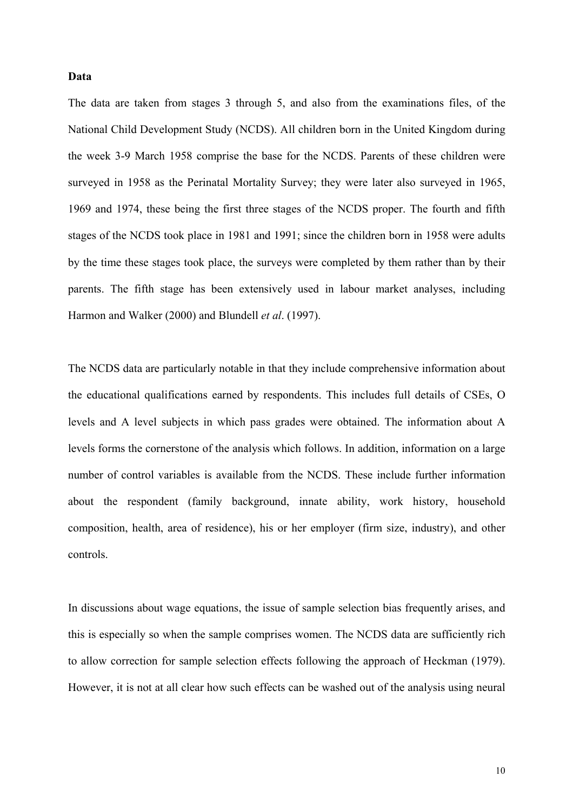#### **Data**

The data are taken from stages 3 through 5, and also from the examinations files, of the National Child Development Study (NCDS). All children born in the United Kingdom during the week 3-9 March 1958 comprise the base for the NCDS. Parents of these children were surveyed in 1958 as the Perinatal Mortality Survey; they were later also surveyed in 1965, 1969 and 1974, these being the first three stages of the NCDS proper. The fourth and fifth stages of the NCDS took place in 1981 and 1991; since the children born in 1958 were adults by the time these stages took place, the surveys were completed by them rather than by their parents. The fifth stage has been extensively used in labour market analyses, including Harmon and Walker (2000) and Blundell *et al*. (1997).

The NCDS data are particularly notable in that they include comprehensive information about the educational qualifications earned by respondents. This includes full details of CSEs, O levels and A level subjects in which pass grades were obtained. The information about A levels forms the cornerstone of the analysis which follows. In addition, information on a large number of control variables is available from the NCDS. These include further information about the respondent (family background, innate ability, work history, household composition, health, area of residence), his or her employer (firm size, industry), and other controls.

In discussions about wage equations, the issue of sample selection bias frequently arises, and this is especially so when the sample comprises women. The NCDS data are sufficiently rich to allow correction for sample selection effects following the approach of Heckman (1979). However, it is not at all clear how such effects can be washed out of the analysis using neural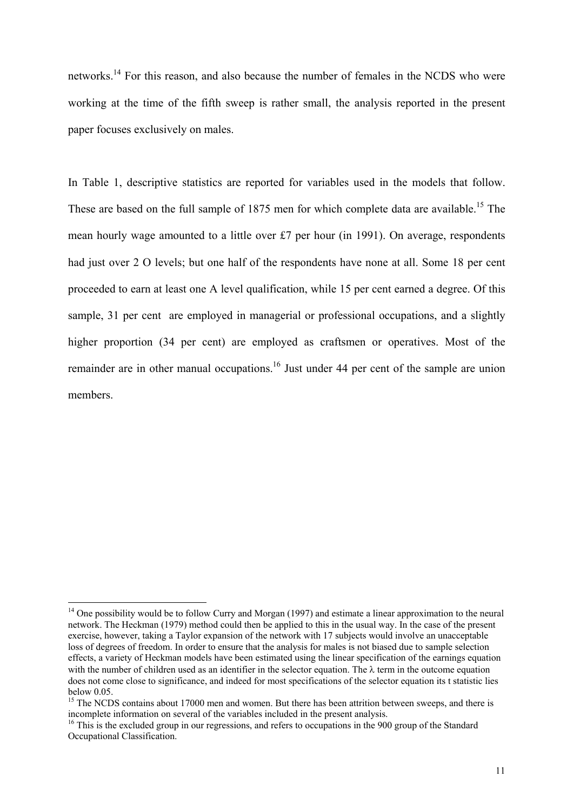networks.<sup>14</sup> For this reason, and also because the number of females in the NCDS who were working at the time of the fifth sweep is rather small, the analysis reported in the present paper focuses exclusively on males.

In Table 1, descriptive statistics are reported for variables used in the models that follow. These are based on the full sample of 1875 men for which complete data are available.<sup>15</sup> The mean hourly wage amounted to a little over £7 per hour (in 1991). On average, respondents had just over 2 O levels; but one half of the respondents have none at all. Some 18 per cent proceeded to earn at least one A level qualification, while 15 per cent earned a degree. Of this sample, 31 per cent are employed in managerial or professional occupations, and a slightly higher proportion (34 per cent) are employed as craftsmen or operatives. Most of the remainder are in other manual occupations.<sup>16</sup> Just under 44 per cent of the sample are union members.

<span id="page-11-0"></span><sup>&</sup>lt;sup>14</sup> One possibility would be to follow Curry and Morgan (1997) and estimate a linear approximation to the neural network. The Heckman (1979) method could then be applied to this in the usual way. In the case of the present exercise, however, taking a Taylor expansion of the network with 17 subjects would involve an unacceptable loss of degrees of freedom. In order to ensure that the analysis for males is not biased due to sample selection effects, a variety of Heckman models have been estimated using the linear specification of the earnings equation with the number of children used as an identifier in the selector equation. The  $\lambda$  term in the outcome equation does not come close to significance, and indeed for most specifications of the selector equation its t statistic lies

<span id="page-11-1"></span>below 0.05.<br><sup>15</sup> The NCDS contains about 17000 men and women. But there has been attrition between sweeps, and there is incomplete information on several of the variables included in the present analysis.

<span id="page-11-2"></span> $16$  This is the excluded group in our regressions, and refers to occupations in the 900 group of the Standard Occupational Classification.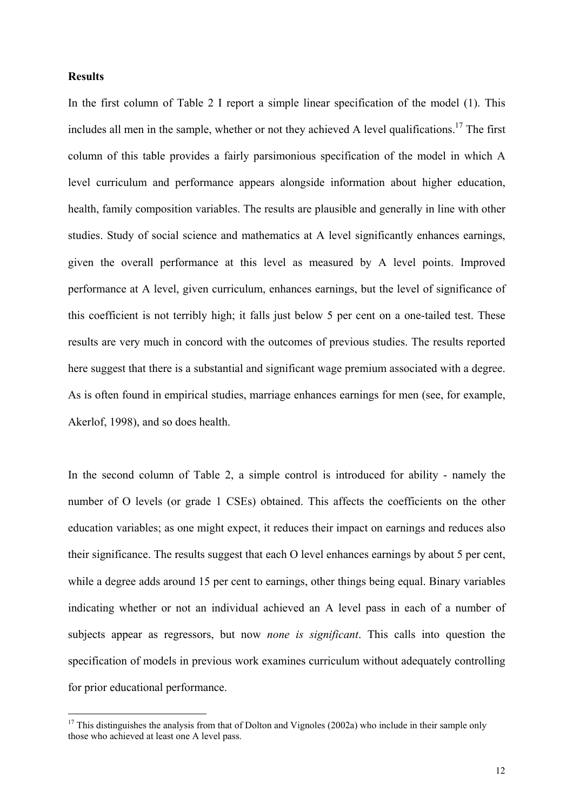#### **Results**

 $\overline{a}$ 

In the first column of Table 2 I report a simple linear specification of the model (1). This includes all men in the sample, whether or not they achieved A level qualifications.<sup>17</sup> The first column of this table provides a fairly parsimonious specification of the model in which A level curriculum and performance appears alongside information about higher education, health, family composition variables. The results are plausible and generally in line with other studies. Study of social science and mathematics at A level significantly enhances earnings, given the overall performance at this level as measured by A level points. Improved performance at A level, given curriculum, enhances earnings, but the level of significance of this coefficient is not terribly high; it falls just below 5 per cent on a one-tailed test. These results are very much in concord with the outcomes of previous studies. The results reported here suggest that there is a substantial and significant wage premium associated with a degree. As is often found in empirical studies, marriage enhances earnings for men (see, for example, Akerlof, 1998), and so does health.

In the second column of Table 2, a simple control is introduced for ability - namely the number of O levels (or grade 1 CSEs) obtained. This affects the coefficients on the other education variables; as one might expect, it reduces their impact on earnings and reduces also their significance. The results suggest that each O level enhances earnings by about 5 per cent, while a degree adds around 15 per cent to earnings, other things being equal. Binary variables indicating whether or not an individual achieved an A level pass in each of a number of subjects appear as regressors, but now *none is significant*. This calls into question the specification of models in previous work examines curriculum without adequately controlling for prior educational performance.

<span id="page-12-0"></span> $17$  This distinguishes the analysis from that of Dolton and Vignoles (2002a) who include in their sample only those who achieved at least one A level pass.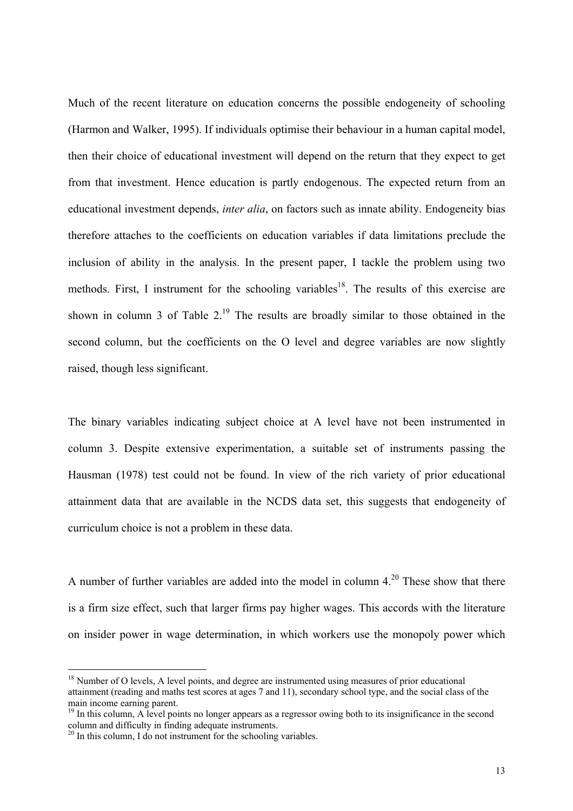Much of the recent literature on education concerns the possible endogeneity of schooling (Harmon and Walker, 1995). If individuals optimise their behaviour in a human capital model, then their choice of educational investment will depend on the return that they expect to get from that investment. Hence education is partly endogenous. The expected return from an educational investment depends, *inter alia*, on factors such as innate ability. Endogeneity bias therefore attaches to the coefficients on education variables if data limitations preclude the inclusion of ability in the analysis. In the present paper, I tackle the problem using two methods. First, I instrument for the schooling variables<sup>18</sup>. The results of this exercise are shown in column 3 of Table  $2<sup>19</sup>$ . The results are broadly similar to those obtained in the second column, but the coefficients on the O level and degree variables are now slightly raised, though less significant.

The binary variables indicating subject choice at A level have not been instrumented in column 3. Despite extensive experimentation, a suitable set of instruments passing the Hausman (1978) test could not be found. In view of the rich variety of prior educational attainment data that are available in the NCDS data set, this suggests that endogeneity of curriculum choice is not a problem in these data.

A number of further variables are added into the model in column  $4<sup>20</sup>$  These show that there is a firm size effect, such that larger firms pay higher wages. This accords with the literature on insider power in wage determination, in which workers use the monopoly power which

<span id="page-13-0"></span><sup>&</sup>lt;sup>18</sup> Number of O levels, A level points, and degree are instrumented using measures of prior educational attainment (reading and maths test scores at ages 7 and 11), secondary school type, and the social class of the main income earning parent.<br><sup>19</sup> In this column, A level points no longer appears as a regressor owing both to its insignificance in the second

<span id="page-13-1"></span>column and difficulty in finding adequate instruments.<br><sup>20</sup> In this column, I do not instrument for the schooling variables.

<span id="page-13-2"></span>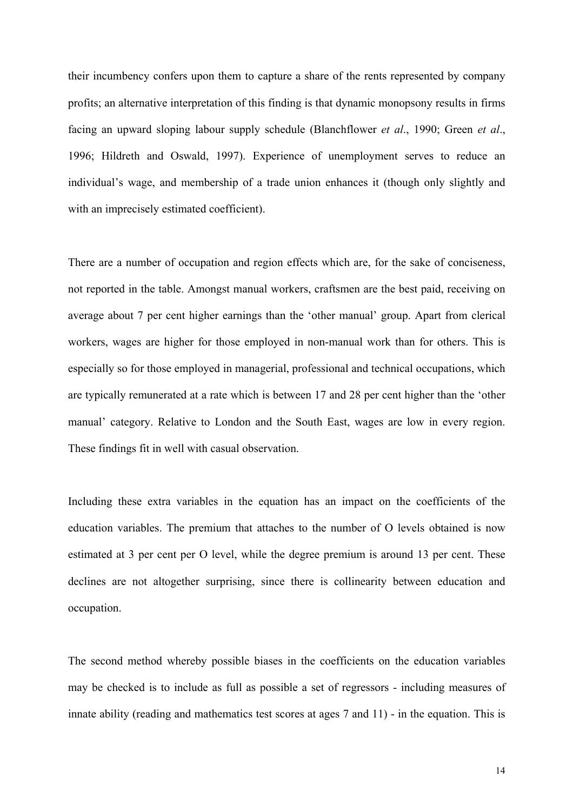their incumbency confers upon them to capture a share of the rents represented by company profits; an alternative interpretation of this finding is that dynamic monopsony results in firms facing an upward sloping labour supply schedule (Blanchflower *et al*., 1990; Green *et al*., 1996; Hildreth and Oswald, 1997). Experience of unemployment serves to reduce an individual's wage, and membership of a trade union enhances it (though only slightly and with an imprecisely estimated coefficient).

There are a number of occupation and region effects which are, for the sake of conciseness, not reported in the table. Amongst manual workers, craftsmen are the best paid, receiving on average about 7 per cent higher earnings than the 'other manual' group. Apart from clerical workers, wages are higher for those employed in non-manual work than for others. This is especially so for those employed in managerial, professional and technical occupations, which are typically remunerated at a rate which is between 17 and 28 per cent higher than the 'other manual' category. Relative to London and the South East, wages are low in every region. These findings fit in well with casual observation.

Including these extra variables in the equation has an impact on the coefficients of the education variables. The premium that attaches to the number of O levels obtained is now estimated at 3 per cent per O level, while the degree premium is around 13 per cent. These declines are not altogether surprising, since there is collinearity between education and occupation.

The second method whereby possible biases in the coefficients on the education variables may be checked is to include as full as possible a set of regressors - including measures of innate ability (reading and mathematics test scores at ages 7 and 11) - in the equation. This is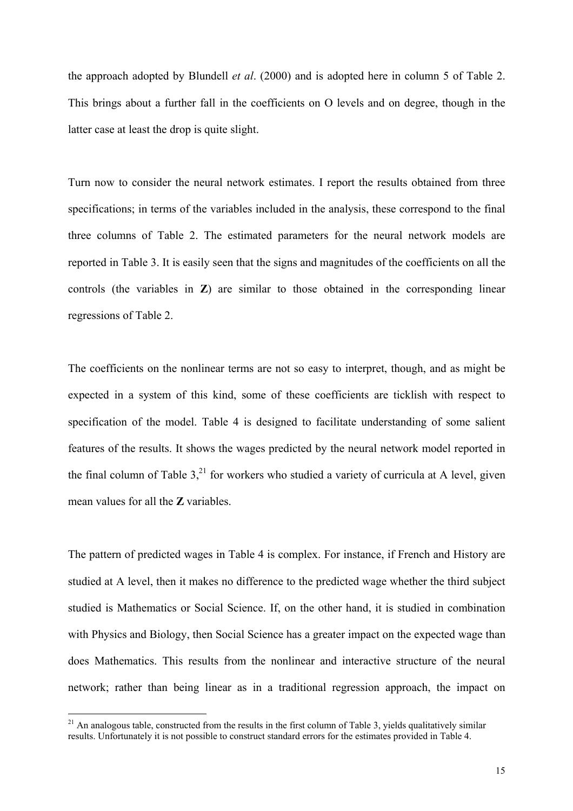the approach adopted by Blundell *et al*. (2000) and is adopted here in column 5 of Table 2. This brings about a further fall in the coefficients on O levels and on degree, though in the latter case at least the drop is quite slight.

Turn now to consider the neural network estimates. I report the results obtained from three specifications; in terms of the variables included in the analysis, these correspond to the final three columns of Table 2. The estimated parameters for the neural network models are reported in Table 3. It is easily seen that the signs and magnitudes of the coefficients on all the controls (the variables in **Z**) are similar to those obtained in the corresponding linear regressions of Table 2.

The coefficients on the nonlinear terms are not so easy to interpret, though, and as might be expected in a system of this kind, some of these coefficients are ticklish with respect to specification of the model. Table 4 is designed to facilitate understanding of some salient features of the results. It shows the wages predicted by the neural network model reported in the final column of Table  $3<sub>1</sub><sup>21</sup>$  for workers who studied a variety of curricula at A level, given mean values for all the **Z** variables.

The pattern of predicted wages in Table 4 is complex. For instance, if French and History are studied at A level, then it makes no difference to the predicted wage whether the third subject studied is Mathematics or Social Science. If, on the other hand, it is studied in combination with Physics and Biology, then Social Science has a greater impact on the expected wage than does Mathematics. This results from the nonlinear and interactive structure of the neural network; rather than being linear as in a traditional regression approach, the impact on

<span id="page-15-0"></span> $21$  An analogous table, constructed from the results in the first column of Table 3, yields qualitatively similar results. Unfortunately it is not possible to construct standard errors for the estimates provided in Table 4.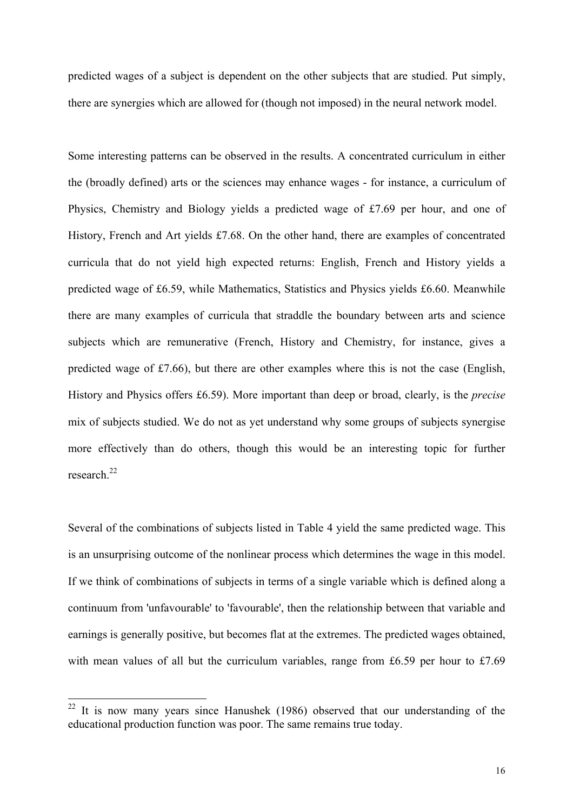predicted wages of a subject is dependent on the other subjects that are studied. Put simply, there are synergies which are allowed for (though not imposed) in the neural network model.

Some interesting patterns can be observed in the results. A concentrated curriculum in either the (broadly defined) arts or the sciences may enhance wages - for instance, a curriculum of Physics, Chemistry and Biology yields a predicted wage of £7.69 per hour, and one of History, French and Art yields £7.68. On the other hand, there are examples of concentrated curricula that do not yield high expected returns: English, French and History yields a predicted wage of £6.59, while Mathematics, Statistics and Physics yields £6.60. Meanwhile there are many examples of curricula that straddle the boundary between arts and science subjects which are remunerative (French, History and Chemistry, for instance, gives a predicted wage of £7.66), but there are other examples where this is not the case (English, History and Physics offers £6.59). More important than deep or broad, clearly, is the *precise*  mix of subjects studied. We do not as yet understand why some groups of subjects synergise more effectively than do others, though this would be an interesting topic for further research $^{22}$ 

Several of the combinations of subjects listed in Table 4 yield the same predicted wage. This is an unsurprising outcome of the nonlinear process which determines the wage in this model. If we think of combinations of subjects in terms of a single variable which is defined along a continuum from 'unfavourable' to 'favourable', then the relationship between that variable and earnings is generally positive, but becomes flat at the extremes. The predicted wages obtained, with mean values of all but the curriculum variables, range from £6.59 per hour to £7.69

<span id="page-16-0"></span>It is now many years since Hanushek (1986) observed that our understanding of the educational production function was poor. The same remains true today.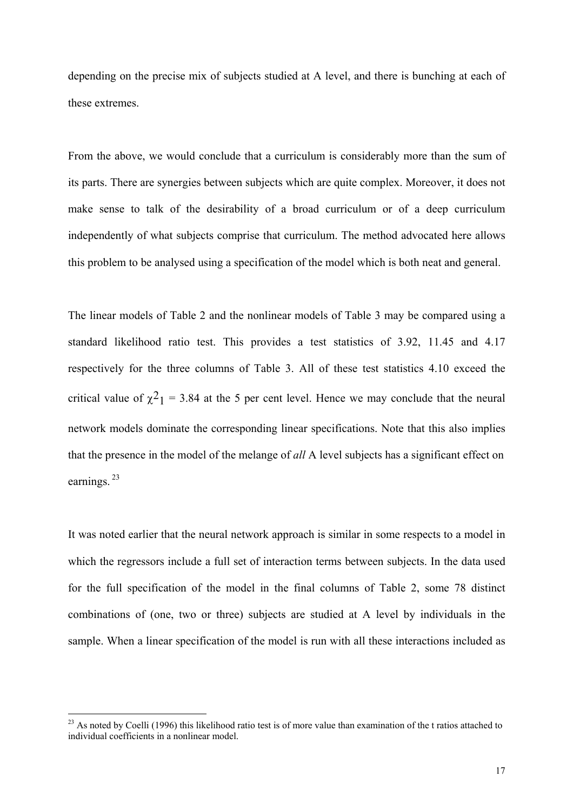depending on the precise mix of subjects studied at A level, and there is bunching at each of these extremes.

From the above, we would conclude that a curriculum is considerably more than the sum of its parts. There are synergies between subjects which are quite complex. Moreover, it does not make sense to talk of the desirability of a broad curriculum or of a deep curriculum independently of what subjects comprise that curriculum. The method advocated here allows this problem to be analysed using a specification of the model which is both neat and general.

The linear models of Table 2 and the nonlinear models of Table 3 may be compared using a standard likelihood ratio test. This provides a test statistics of 3.92, 11.45 and 4.17 respectively for the three columns of Table 3. All of these test statistics 4.10 exceed the critical value of  $\chi^2_1$  = 3.84 at the 5 per cent level. Hence we may conclude that the neural network models dominate the corresponding linear specifications. Note that this also implies that the presence in the model of the melange of *all* A level subjects has a significant effect on earnings. [23](#page-17-0) 

It was noted earlier that the neural network approach is similar in some respects to a model in which the regressors include a full set of interaction terms between subjects. In the data used for the full specification of the model in the final columns of Table 2, some 78 distinct combinations of (one, two or three) subjects are studied at A level by individuals in the sample. When a linear specification of the model is run with all these interactions included as

<span id="page-17-0"></span> $^{23}$  As noted by Coelli (1996) this likelihood ratio test is of more value than examination of the t ratios attached to individual coefficients in a nonlinear model.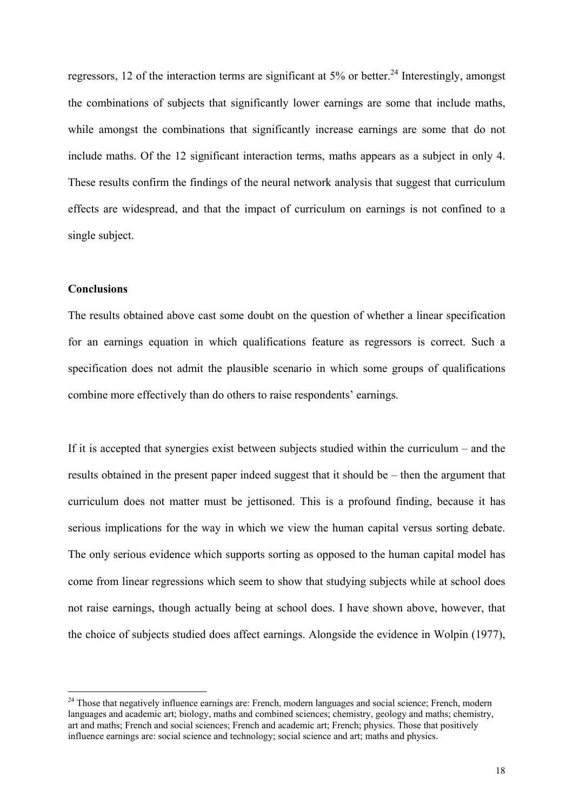regressors, 12 of the interaction terms are significant at  $5\%$  or better.<sup>24</sup> Interestingly, amongst the combinations of subjects that significantly lower earnings are some that include maths, while amongst the combinations that significantly increase earnings are some that do not include maths. Of the 12 significant interaction terms, maths appears as a subject in only 4. These results confirm the findings of the neural network analysis that suggest that curriculum effects are widespread, and that the impact of curriculum on earnings is not confined to a single subject.

#### **Conclusions**

 $\overline{a}$ 

The results obtained above cast some doubt on the question of whether a linear specification for an earnings equation in which qualifications feature as regressors is correct. Such a specification does not admit the plausible scenario in which some groups of qualifications combine more effectively than do others to raise respondents' earnings.

If it is accepted that synergies exist between subjects studied within the curriculum – and the results obtained in the present paper indeed suggest that it should be – then the argument that curriculum does not matter must be jettisoned. This is a profound finding, because it has serious implications for the way in which we view the human capital versus sorting debate. The only serious evidence which supports sorting as opposed to the human capital model has come from linear regressions which seem to show that studying subjects while at school does not raise earnings, though actually being at school does. I have shown above, however, that the choice of subjects studied does affect earnings. Alongside the evidence in Wolpin (1977),

<span id="page-18-0"></span><sup>&</sup>lt;sup>24</sup> Those that negatively influence earnings are: French, modern languages and social science; French, modern languages and academic art; biology, maths and combined sciences; chemistry, geology and maths; chemistry, art and maths; French and social sciences; French and academic art; French; physics. Those that positively influence earnings are: social science and technology; social science and art; maths and physics.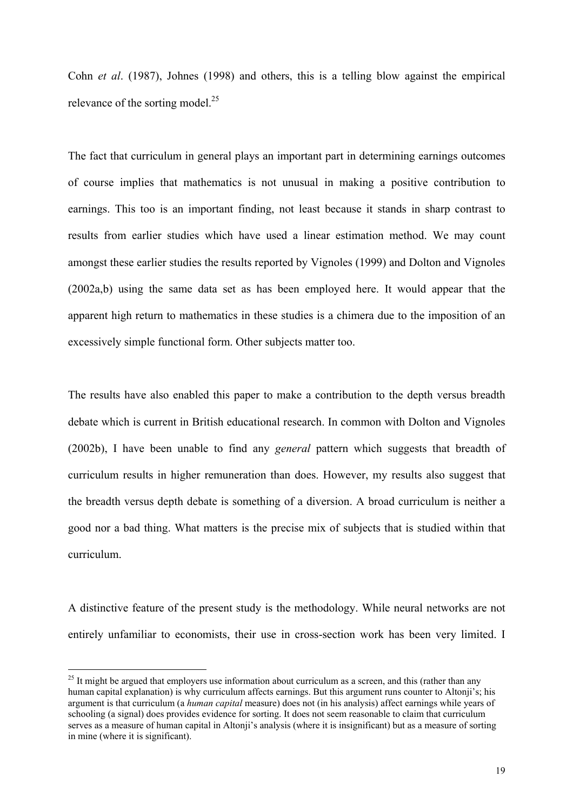Cohn *et al*. (1987), Johnes (1998) and others, this is a telling blow against the empirical relevance of the sorting model. $^{25}$ 

The fact that curriculum in general plays an important part in determining earnings outcomes of course implies that mathematics is not unusual in making a positive contribution to earnings. This too is an important finding, not least because it stands in sharp contrast to results from earlier studies which have used a linear estimation method. We may count amongst these earlier studies the results reported by Vignoles (1999) and Dolton and Vignoles (2002a,b) using the same data set as has been employed here. It would appear that the apparent high return to mathematics in these studies is a chimera due to the imposition of an excessively simple functional form. Other subjects matter too.

The results have also enabled this paper to make a contribution to the depth versus breadth debate which is current in British educational research. In common with Dolton and Vignoles (2002b), I have been unable to find any *general* pattern which suggests that breadth of curriculum results in higher remuneration than does. However, my results also suggest that the breadth versus depth debate is something of a diversion. A broad curriculum is neither a good nor a bad thing. What matters is the precise mix of subjects that is studied within that curriculum.

A distinctive feature of the present study is the methodology. While neural networks are not entirely unfamiliar to economists, their use in cross-section work has been very limited. I

<span id="page-19-0"></span><sup>&</sup>lt;sup>25</sup> It might be argued that employers use information about curriculum as a screen, and this (rather than any human capital explanation) is why curriculum affects earnings. But this argument runs counter to Altonji's; his argument is that curriculum (a *human capital* measure) does not (in his analysis) affect earnings while years of schooling (a signal) does provides evidence for sorting. It does not seem reasonable to claim that curriculum serves as a measure of human capital in Altonji's analysis (where it is insignificant) but as a measure of sorting in mine (where it is significant).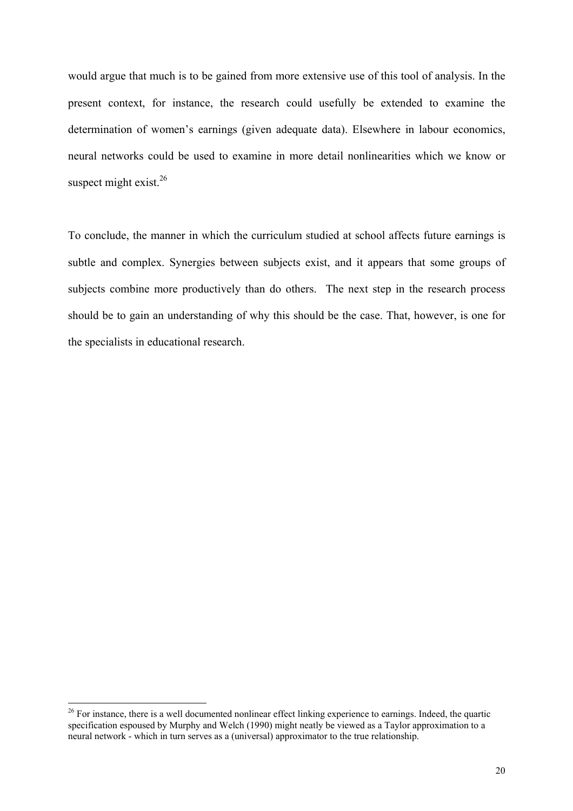would argue that much is to be gained from more extensive use of this tool of analysis. In the present context, for instance, the research could usefully be extended to examine the determination of women's earnings (given adequate data). Elsewhere in labour economics, neural networks could be used to examine in more detail nonlinearities which we know or suspect might exist. $^{26}$  $^{26}$  $^{26}$ 

To conclude, the manner in which the curriculum studied at school affects future earnings is subtle and complex. Synergies between subjects exist, and it appears that some groups of subjects combine more productively than do others. The next step in the research process should be to gain an understanding of why this should be the case. That, however, is one for the specialists in educational research.

<span id="page-20-0"></span><sup>&</sup>lt;sup>26</sup> For instance, there is a well documented nonlinear effect linking experience to earnings. Indeed, the quartic specification espoused by Murphy and Welch (1990) might neatly be viewed as a Taylor approximation to a neural network - which in turn serves as a (universal) approximator to the true relationship.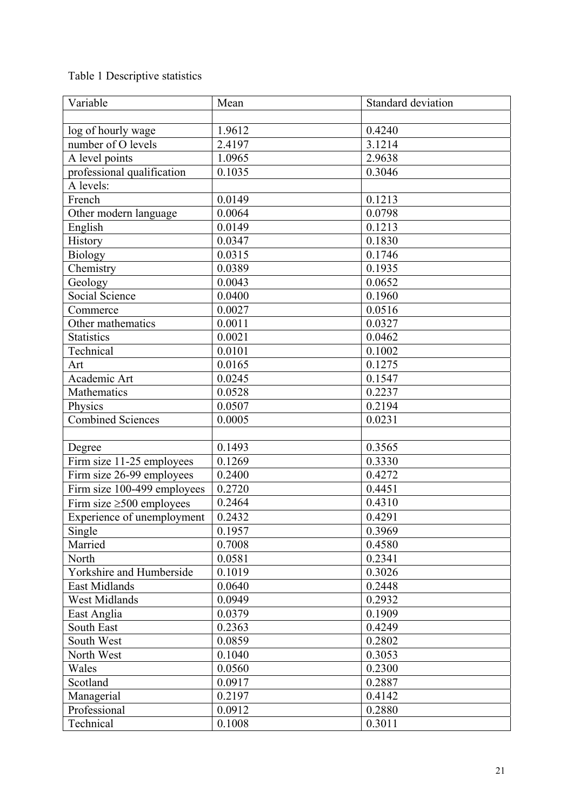#### Table 1 Des criptive s tatistics

| Variable                       | Mean   | Standard deviation |
|--------------------------------|--------|--------------------|
|                                |        |                    |
| log of hourly wage             | 1.9612 | 0.4240             |
| number of O levels             | 2.4197 | 3.1214             |
| A level points                 | 1.0965 | 2.9638             |
| professional qualification     | 0.1035 | 0.3046             |
| A levels:                      |        |                    |
| French                         | 0.0149 | 0.1213             |
| Other modern language          | 0.0064 | 0.0798             |
| English                        | 0.0149 | 0.1213             |
| History                        | 0.0347 | 0.1830             |
| <b>Biology</b>                 | 0.0315 | 0.1746             |
| Chemistry                      | 0.0389 | 0.1935             |
| Geology                        | 0.0043 | 0.0652             |
| Social Science                 | 0.0400 | 0.1960             |
| Commerce                       | 0.0027 | 0.0516             |
| Other mathematics              | 0.0011 | 0.0327             |
| <b>Statistics</b>              | 0.0021 | 0.0462             |
| Technical                      | 0.0101 | 0.1002             |
| Art                            | 0.0165 | 0.1275             |
| Academic Art                   | 0.0245 | 0.1547             |
| Mathematics                    | 0.0528 | 0.2237             |
| Physics                        | 0.0507 | 0.2194             |
| Combined Sciences              | 0.0005 | 0.0231             |
|                                |        |                    |
| Degree                         | 0.1493 | 0.3565             |
| Firm size 11-25 employees      | 0.1269 | 0.3330             |
| Firm size 26-99 employees      | 0.2400 | 0.4272             |
| Firm size 100-499 employees    | 0.2720 | 0.4451             |
| Firm size $\geq 500$ employees | 0.2464 | 0.4310             |
| Experience of unemployment     | 0.2432 | 0.4291             |
| Single                         | 0.1957 | 0.3969             |
| Married                        | 0.7008 | 0.4580             |
| North                          | 0.0581 | 0.2341             |
| Yorkshire and Humberside       | 0.1019 | 0.3026             |
| East Midlands                  | 0.0640 | 0.2448             |
| <b>West Midlands</b>           | 0.0949 | 0.2932             |
| East Anglia                    | 0.0379 | 0.1909             |
| South East                     | 0.2363 | 0.4249             |
| South West                     | 0.0859 | 0.2802             |
| North West                     | 0.1040 | 0.3053             |
| Wales                          | 0.0560 | 0.2300             |
| Scotland                       | 0.0917 | 0.2887             |
| Managerial                     | 0.2197 | 0.4142             |
| Professional                   | 0.0912 | 0.2880             |
| Technical                      | 0.1008 | 0.3011             |
|                                |        |                    |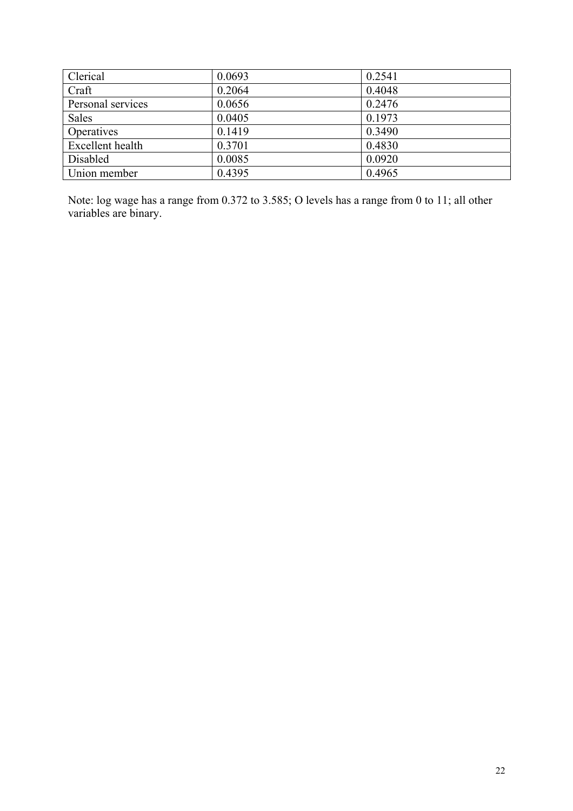| Clerical          | 0.0693 | 0.2541 |
|-------------------|--------|--------|
| Craft             | 0.2064 | 0.4048 |
| Personal services | 0.0656 | 0.2476 |
| <b>Sales</b>      | 0.0405 | 0.1973 |
| Operatives        | 0.1419 | 0.3490 |
| Excellent health  | 0.3701 | 0.4830 |
| Disabled          | 0.0085 | 0.0920 |
| Union member      | 0.4395 | 0.4965 |

Note: log wage has a range from 0.372 to 3.585; O levels has a range from 0 to 11; all other variables are binary.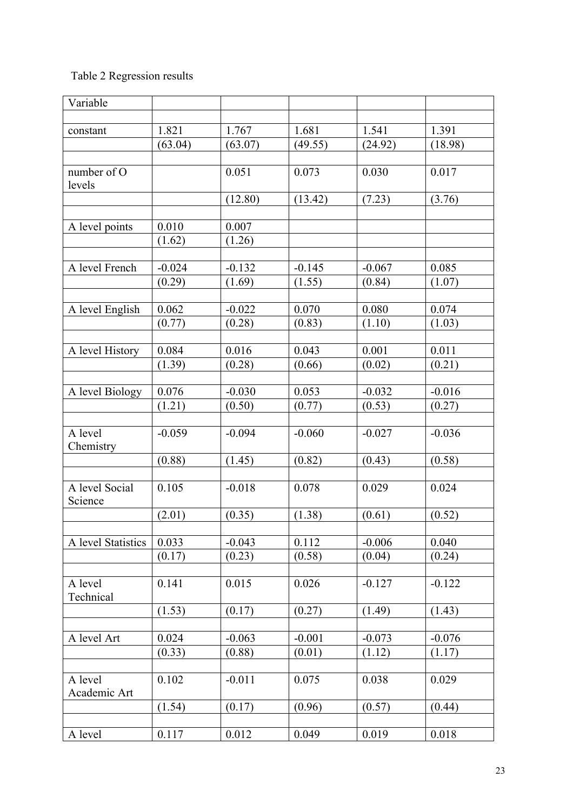# Table 2 Regression results

| Variable           |          |          |          |          |          |
|--------------------|----------|----------|----------|----------|----------|
|                    |          |          |          |          |          |
| constant           | 1.821    | 1.767    | 1.681    | 1.541    | 1.391    |
|                    | (63.04)  | (63.07)  | (49.55)  | (24.92)  | (18.98)  |
|                    |          |          |          |          |          |
| number of O        |          | 0.051    | 0.073    | 0.030    | 0.017    |
| levels             |          |          |          |          |          |
|                    |          | (12.80)  | (13.42)  | (7.23)   | (3.76)   |
|                    |          |          |          |          |          |
| A level points     | 0.010    | 0.007    |          |          |          |
|                    | (1.62)   | (1.26)   |          |          |          |
|                    |          |          |          |          |          |
| A level French     | $-0.024$ | $-0.132$ | $-0.145$ | $-0.067$ | 0.085    |
|                    | (0.29)   | (1.69)   | (1.55)   | (0.84)   | (1.07)   |
|                    |          |          |          |          |          |
| A level English    | 0.062    | $-0.022$ | 0.070    | 0.080    | 0.074    |
|                    | (0.77)   | (0.28)   | (0.83)   | (1.10)   | (1.03)   |
|                    |          |          |          |          |          |
| A level History    | 0.084    | 0.016    | 0.043    | 0.001    | 0.011    |
|                    | (1.39)   | (0.28)   | (0.66)   | (0.02)   | (0.21)   |
|                    |          |          |          |          |          |
| A level Biology    | 0.076    | $-0.030$ | 0.053    | $-0.032$ | $-0.016$ |
|                    | (1.21)   | (0.50)   | (0.77)   | (0.53)   | (0.27)   |
|                    |          |          |          |          |          |
| A level            | $-0.059$ | $-0.094$ | $-0.060$ | $-0.027$ | $-0.036$ |
| Chemistry          |          |          |          |          |          |
|                    | (0.88)   | (1.45)   | (0.82)   | (0.43)   | (0.58)   |
|                    |          |          |          |          |          |
| A level Social     | 0.105    | $-0.018$ | 0.078    | 0.029    | 0.024    |
| Science            |          |          |          |          |          |
|                    | (2.01)   | (0.35)   | (1.38)   | (0.61)   | (0.52)   |
|                    |          |          |          |          |          |
| A level Statistics | 0.033    | $-0.043$ | 0.112    | $-0.006$ | 0.040    |
|                    | (0.17)   | (0.23)   | (0.58)   | (0.04)   | (0.24)   |
|                    |          |          |          |          |          |
| A level            | 0.141    | 0.015    | 0.026    | $-0.127$ | $-0.122$ |
| Technical          |          |          |          |          |          |
|                    | (1.53)   | (0.17)   | (0.27)   | (1.49)   | (1.43)   |
|                    |          |          |          |          |          |
| A level Art        | 0.024    | $-0.063$ | $-0.001$ | $-0.073$ | $-0.076$ |
|                    | (0.33)   | (0.88)   | (0.01)   | (1.12)   | (1.17)   |
|                    |          |          |          |          |          |
| A level            | 0.102    | $-0.011$ | 0.075    | 0.038    | 0.029    |
| Academic Art       |          |          |          |          |          |
|                    | (1.54)   | (0.17)   | (0.96)   | (0.57)   | (0.44)   |
|                    |          |          |          |          |          |
| A level            | 0.117    | 0.012    | 0.049    | 0.019    | 0.018    |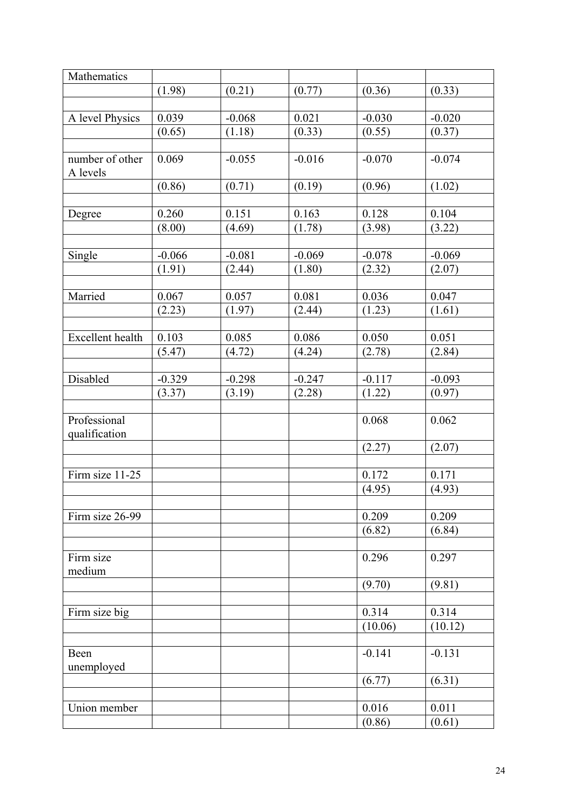| Mathematics             |          |          |          |          |          |
|-------------------------|----------|----------|----------|----------|----------|
|                         | (1.98)   | (0.21)   | (0.77)   | (0.36)   | (0.33)   |
|                         |          |          |          |          |          |
| A level Physics         | 0.039    | $-0.068$ | 0.021    | $-0.030$ | $-0.020$ |
|                         | (0.65)   | (1.18)   | (0.33)   | (0.55)   | (0.37)   |
|                         |          |          |          |          |          |
| number of other         | 0.069    | $-0.055$ | $-0.016$ | $-0.070$ | $-0.074$ |
| A levels                |          |          |          |          |          |
|                         | (0.86)   | (0.71)   | (0.19)   | (0.96)   | (1.02)   |
|                         |          |          |          |          |          |
| Degree                  | 0.260    | 0.151    | 0.163    | 0.128    | 0.104    |
|                         | (8.00)   | (4.69)   | (1.78)   | (3.98)   | (3.22)   |
|                         |          |          |          |          |          |
| Single                  | $-0.066$ | $-0.081$ | $-0.069$ | $-0.078$ | $-0.069$ |
|                         | (1.91)   | (2.44)   | (1.80)   | (2.32)   | (2.07)   |
|                         |          |          |          |          |          |
| Married                 | 0.067    | 0.057    | 0.081    |          |          |
|                         |          |          |          | 0.036    | 0.047    |
|                         | (2.23)   | (1.97)   | (2.44)   | (1.23)   | (1.61)   |
|                         |          |          |          |          |          |
| <b>Excellent</b> health | 0.103    | 0.085    | 0.086    | 0.050    | 0.051    |
|                         | (5.47)   | (4.72)   | (4.24)   | (2.78)   | (2.84)   |
|                         |          |          |          |          |          |
| Disabled                | $-0.329$ | $-0.298$ | $-0.247$ | $-0.117$ | $-0.093$ |
|                         | (3.37)   | (3.19)   | (2.28)   | (1.22)   | (0.97)   |
|                         |          |          |          |          |          |
| Professional            |          |          |          | 0.068    | 0.062    |
| qualification           |          |          |          |          |          |
|                         |          |          |          | (2.27)   | (2.07)   |
|                         |          |          |          |          |          |
| Firm size 11-25         |          |          |          | 0.172    | 0.171    |
|                         |          |          |          | (4.95)   | (4.93)   |
|                         |          |          |          |          |          |
| Firm size 26-99         |          |          |          | 0.209    | 0.209    |
|                         |          |          |          | (6.82)   | (6.84)   |
|                         |          |          |          |          |          |
| Firm size               |          |          |          | 0.296    | 0.297    |
| medium                  |          |          |          |          |          |
|                         |          |          |          | (9.70)   | (9.81)   |
|                         |          |          |          |          |          |
| Firm size big           |          |          |          | 0.314    | 0.314    |
|                         |          |          |          | (10.06)  | (10.12)  |
|                         |          |          |          |          |          |
| Been                    |          |          |          | $-0.141$ | $-0.131$ |
| unemployed              |          |          |          |          |          |
|                         |          |          |          | (6.77)   | (6.31)   |
|                         |          |          |          |          |          |
| Union member            |          |          |          | 0.016    | 0.011    |
|                         |          |          |          | (0.86)   | (0.61)   |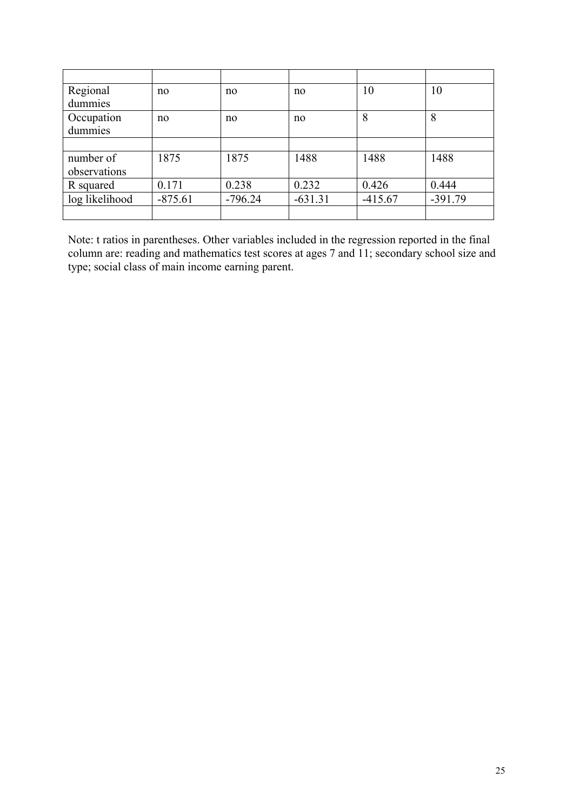| Regional       | no        | no        | no        | 10        | 10        |
|----------------|-----------|-----------|-----------|-----------|-----------|
| dummies        |           |           |           |           |           |
| Occupation     | no        | no        | no        | 8         | 8         |
| dummies        |           |           |           |           |           |
|                |           |           |           |           |           |
| number of      | 1875      | 1875      | 1488      | 1488      | 1488      |
| observations   |           |           |           |           |           |
| R squared      | 0.171     | 0.238     | 0.232     | 0.426     | 0.444     |
| log likelihood | $-875.61$ | $-796.24$ | $-631.31$ | $-415.67$ | $-391.79$ |
|                |           |           |           |           |           |

Note: t ratios in parentheses. Other variables included in the regression reported in the final column are: reading and mathematics test scores at ages 7 and 11; secondary school size and type; social class of main income earning parent.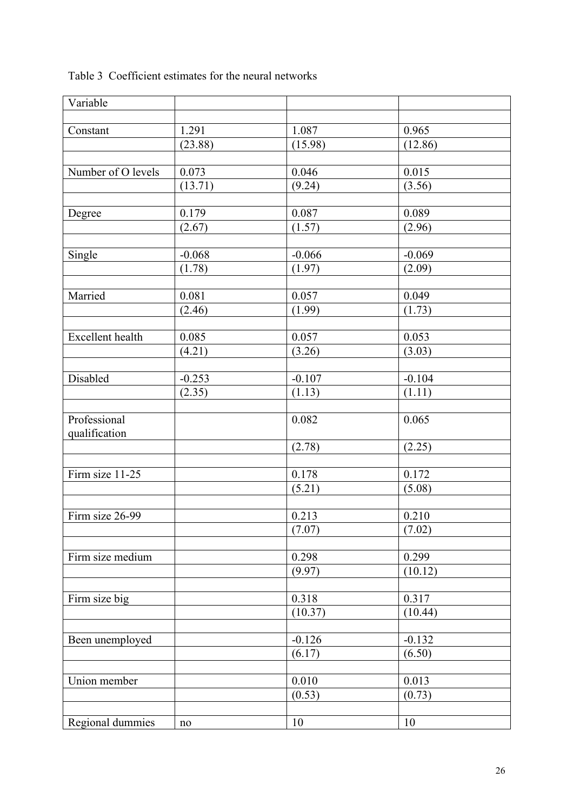| Variable           |          |          |          |  |
|--------------------|----------|----------|----------|--|
|                    |          |          |          |  |
| Constant           | 1.291    | 1.087    | 0.965    |  |
|                    | (23.88)  | (15.98)  | (12.86)  |  |
|                    |          |          |          |  |
| Number of O levels | 0.073    | 0.046    | 0.015    |  |
|                    | (13.71)  | (9.24)   | (3.56)   |  |
| Degree             | 0.179    | 0.087    | 0.089    |  |
|                    | (2.67)   | (1.57)   | (2.96)   |  |
|                    |          |          |          |  |
| Single             | $-0.068$ | $-0.066$ | $-0.069$ |  |
|                    | (1.78)   | (1.97)   | (2.09)   |  |
|                    |          |          |          |  |
| Married            | 0.081    | 0.057    | 0.049    |  |
|                    | (2.46)   | (1.99)   | (1.73)   |  |
|                    |          |          |          |  |
| Excellent health   | 0.085    | 0.057    | 0.053    |  |
|                    | (4.21)   | (3.26)   | (3.03)   |  |
|                    |          |          |          |  |
| Disabled           | $-0.253$ | $-0.107$ | $-0.104$ |  |
|                    | (2.35)   | (1.13)   | (1.11)   |  |
|                    |          |          |          |  |
| Professional       |          | 0.082    | 0.065    |  |
| qualification      |          |          |          |  |
|                    |          | (2.78)   | (2.25)   |  |
|                    |          |          |          |  |
| Firm size 11-25    |          | 0.178    | 0.172    |  |
|                    |          | (5.21)   | (5.08)   |  |
|                    |          |          |          |  |
| Firm size 26-99    |          | 0.213    | 0.210    |  |
|                    |          | (7.07)   | (7.02)   |  |
|                    |          |          |          |  |
| Firm size medium   |          | 0.298    | 0.299    |  |
|                    |          | (9.97)   | (10.12)  |  |
|                    |          |          |          |  |
| Firm size big      |          | 0.318    | 0.317    |  |
|                    |          | (10.37)  | (10.44)  |  |
|                    |          |          |          |  |
| Been unemployed    |          | $-0.126$ | $-0.132$ |  |
|                    |          | (6.17)   | (6.50)   |  |
|                    |          |          |          |  |
| Union member       |          | 0.010    | 0.013    |  |
|                    |          | (0.53)   | (0.73)   |  |
|                    |          |          |          |  |
| Regional dummies   | $\rm no$ | 10       | $10\,$   |  |

Table 3 Coefficient estimates for the neural networks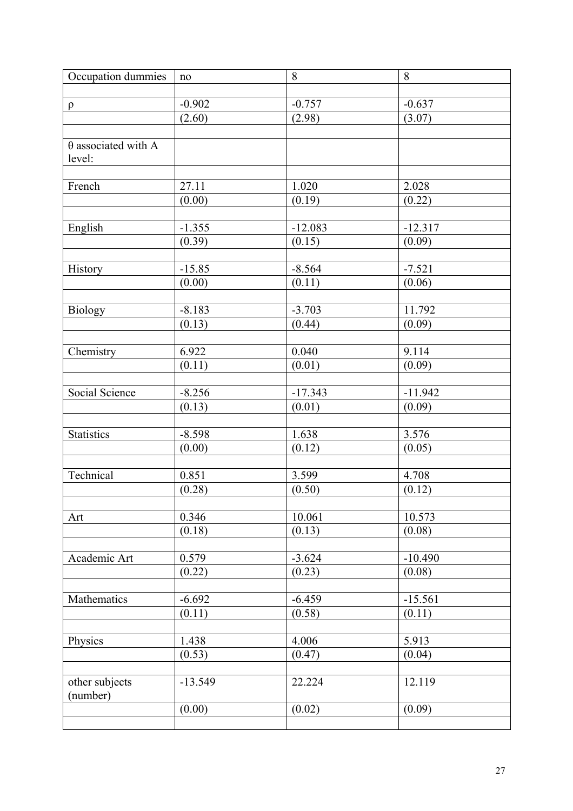| Occupation dummies         | no                 | 8                  | 8                  |  |
|----------------------------|--------------------|--------------------|--------------------|--|
|                            |                    |                    |                    |  |
| $\rho$                     | $-0.902$<br>(2.60) | $-0.757$<br>(2.98) | $-0.637$<br>(3.07) |  |
|                            |                    |                    |                    |  |
| $\theta$ associated with A |                    |                    |                    |  |
| level:                     |                    |                    |                    |  |
|                            |                    |                    |                    |  |
| French                     | 27.11              | 1.020              | 2.028              |  |
|                            | (0.00)             | (0.19)             | (0.22)             |  |
|                            |                    |                    |                    |  |
| English                    | $-1.355$           | $-12.083$          | $-12.317$          |  |
|                            | (0.39)             | (0.15)             | (0.09)             |  |
|                            |                    |                    |                    |  |
| History                    | $-15.85$           | $-8.564$           | $-7.521$           |  |
|                            | (0.00)             | (0.11)             | (0.06)             |  |
|                            | $-8.183$           | $-3.703$           | 11.792             |  |
| Biology                    | (0.13)             | (0.44)             | (0.09)             |  |
|                            |                    |                    |                    |  |
| Chemistry                  | 6.922              | 0.040              | 9.114              |  |
|                            | (0.11)             | (0.01)             | (0.09)             |  |
|                            |                    |                    |                    |  |
| Social Science             | $-8.256$           | $-17.343$          | $-11.942$          |  |
|                            | (0.13)             | (0.01)             | (0.09)             |  |
|                            |                    |                    |                    |  |
| <b>Statistics</b>          | $-8.598$           | 1.638              | 3.576              |  |
|                            | (0.00)             | (0.12)             | (0.05)             |  |
|                            |                    |                    |                    |  |
| Technical                  | 0.851              | 3.599              | 4.708              |  |
|                            | (0.28)             | (0.50)             | (0.12)             |  |
|                            |                    |                    |                    |  |
| Art                        | 0.346              | 10.061             | 10.573<br>(0.08)   |  |
|                            | (0.18)             | (0.13)             |                    |  |
| Academic Art               | 0.579              | $-3.624$           | $-10.490$          |  |
|                            | (0.22)             | (0.23)             | (0.08)             |  |
|                            |                    |                    |                    |  |
| Mathematics                | $-6.692$           | $-6.459$           | $-15.561$          |  |
|                            | (0.11)             | (0.58)             | (0.11)             |  |
|                            |                    |                    |                    |  |
| Physics                    | 1.438              | 4.006              | 5.913              |  |
|                            | (0.53)             | (0.47)             | (0.04)             |  |
|                            |                    |                    |                    |  |
| other subjects             | $-13.549$          | 22.224             | 12.119             |  |
| (number)                   |                    |                    |                    |  |
|                            | (0.00)             | (0.02)             | (0.09)             |  |
|                            |                    |                    |                    |  |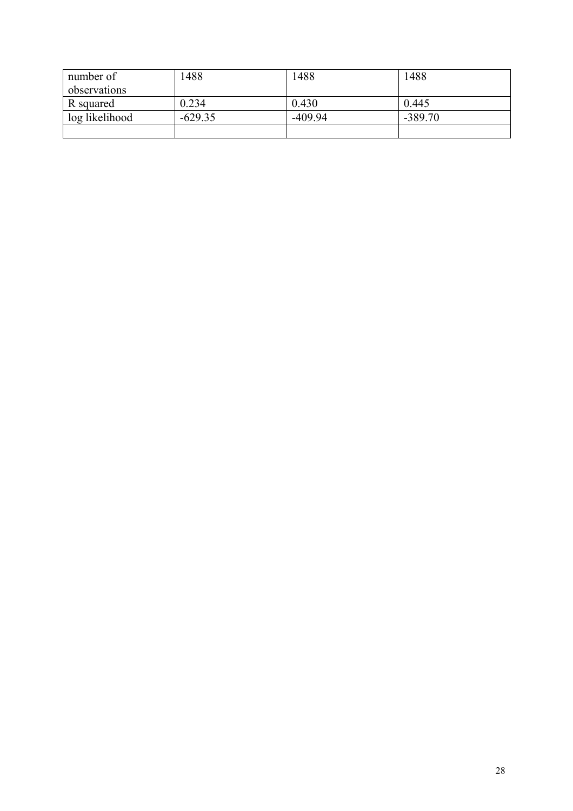| number of      | 1488      | 1488      | 1488      |
|----------------|-----------|-----------|-----------|
| observations   |           |           |           |
| R squared      | 0.234     | 0.430     | 0.445     |
| log likelihood | $-629.35$ | $-409.94$ | $-389.70$ |
|                |           |           |           |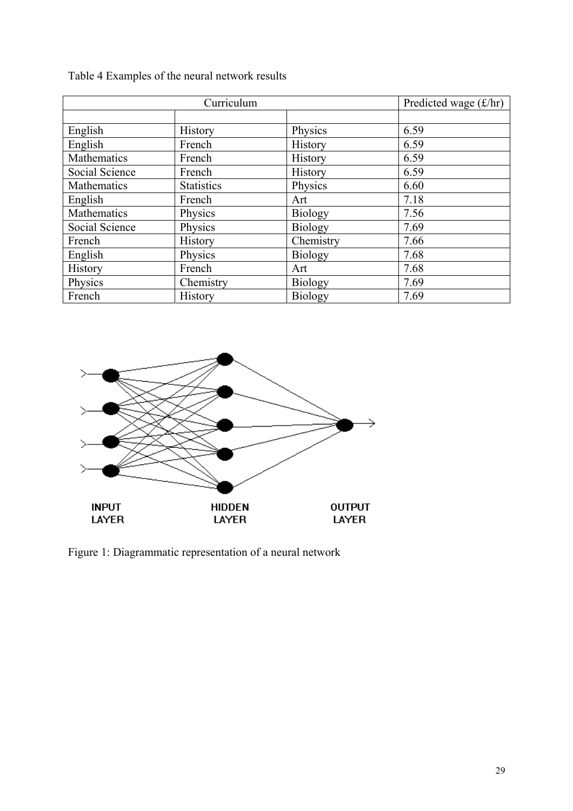Table 4 Examples of the neural network results

|                | Curriculum        |                | Predicted wage (£/hr) |
|----------------|-------------------|----------------|-----------------------|
|                |                   |                |                       |
| English        | <b>History</b>    | Physics        | 6.59                  |
| English        | French            | History        | 6.59                  |
| Mathematics    | French            | History        | 6.59                  |
| Social Science | French            | History        | 6.59                  |
| Mathematics    | <b>Statistics</b> | Physics        | 6.60                  |
| English        | French            | Art            | 7.18                  |
| Mathematics    | Physics           | <b>Biology</b> | 7.56                  |
| Social Science | Physics           | <b>Biology</b> | 7.69                  |
| French         | History           | Chemistry      | 7.66                  |
| English        | Physics           | <b>Biology</b> | 7.68                  |
| History        | French            | Art            | 7.68                  |
| Physics        | Chemistry         | <b>Biology</b> | 7.69                  |
| French         | History           | <b>Biology</b> | 7.69                  |



Figure 1: Diagrammatic representation of a neural network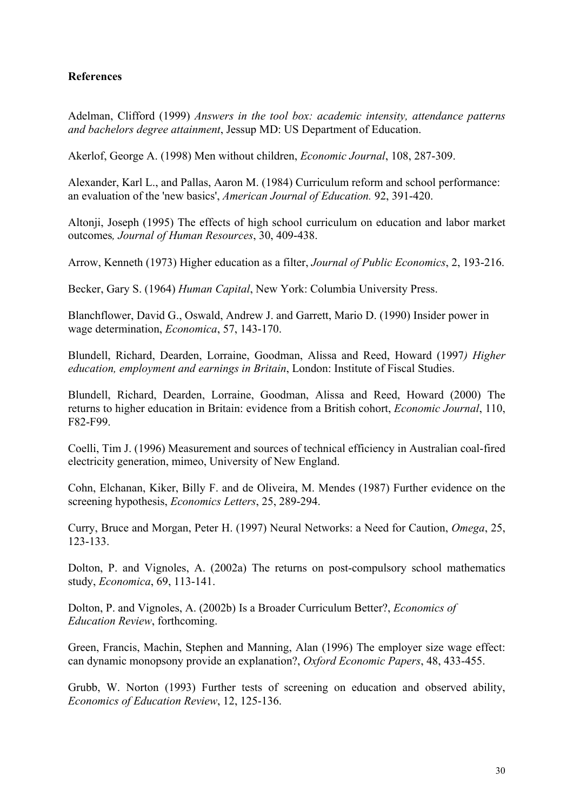## **References**

Adelman, Clifford (1999) *Answers in the tool box: academic intensity, attendance patterns and bachelors degree attainment*, Jessup MD: US Department of Education.

Akerlof, George A. (1998) Men without children, *Economic Journal*, 108, 287-309.

Alexander, Karl L., and Pallas, Aaron M. (1984) Curriculum reform and school performance: an evaluation of the 'new basics', *American Journal of Education.* 92, 391-420.

Altonji, Joseph (1995) The effects of high school curriculum on education and labor market outcomes*, Journal of Human Resources*, 30, 409-438.

Arrow, Kenneth (1973) Higher education as a filter, *Journal of Public Economics*, 2, 193-216.

Becker, Gary S. (1964) *Human Capital*, New York: Columbia University Press.

Blanchflower, David G., Oswald, Andrew J. and Garrett, Mario D. (1990) Insider power in wage determination, *Economica*, 57, 143-170.

Blundell, Richard, Dearden, Lorraine, Goodman, Alissa and Reed, Howard (1997*) Higher education, employment and earnings in Britain*, London: Institute of Fiscal Studies.

Blundell, Richard, Dearden, Lorraine, Goodman, Alissa and Reed, Howard (2000) The returns to higher education in Britain: evidence from a British cohort, *Economic Journal*, 110, F82-F99.

Coelli, Tim J. (1996) Measurement and sources of technical efficiency in Australian coal-fired electricity generation, mimeo, University of New England.

Cohn, Elchanan, Kiker, Billy F. and de Oliveira, M. Mendes (1987) Further evidence on the screening hypothesis, *Economics Letters*, 25, 289-294.

Curry, Bruce and Morgan, Peter H. (1997) Neural Networks: a Need for Caution, *Omega*, 25, 123-133.

Dolton, P. and Vignoles, A. (2002a) The returns on post-compulsory school mathematics study, *Economica*, 69, 113-141.

Dolton, P. and Vignoles, A. (2002b) Is a Broader Curriculum Better?, *Economics of Education Review*, forthcoming.

Green, Francis, Machin, Stephen and Manning, Alan (1996) The employer size wage effect: can dynamic monopsony provide an explanation?, *Oxford Economic Papers*, 48, 433-455.

Grubb, W. Norton (1993) Further tests of screening on education and observed ability, *Economics of Education Review*, 12, 125-136.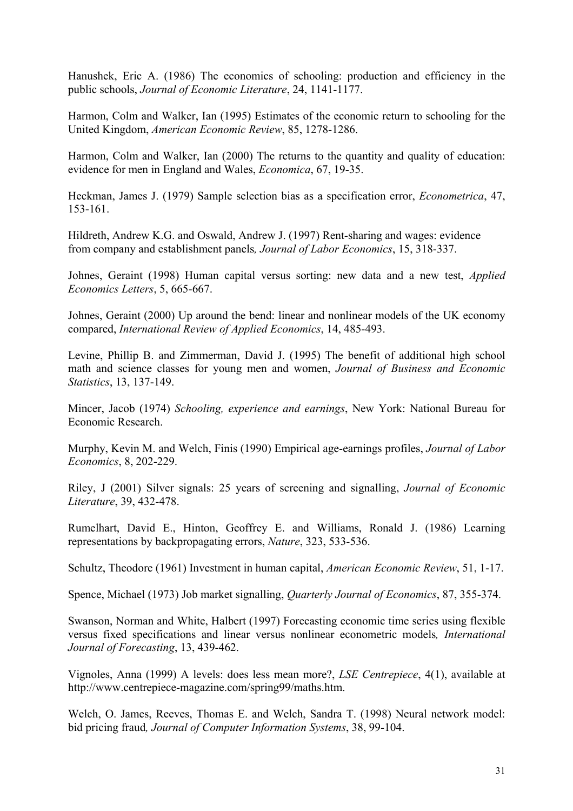Hanushek, Eric A. (1986) The economics of schooling: production and efficiency in the public schools, *Journal of Economic Literature*, 24, 1141-1177.

Harmon, Colm and Walker, Ian (1995) Estimates of the economic return to schooling for the United Kingdom, *American Economic Review*, 85, 1278-1286.

Harmon, Colm and Walker, Ian (2000) The returns to the quantity and quality of education: evidence for men in England and Wales, *Economica*, 67, 19-35.

Heckman, James J. (1979) Sample selection bias as a specification error, *Econometrica*, 47, 153-161.

Hildreth, Andrew K.G. and Oswald, Andrew J. (1997) Rent-sharing and wages: evidence from company and establishment panels*, Journal of Labor Economics*, 15, 318-337.

Johnes, Geraint (1998) Human capital versus sorting: new data and a new test, *Applied Economics Letters*, 5, 665-667.

Johnes, Geraint (2000) Up around the bend: linear and nonlinear models of the UK economy compared, *International Review of Applied Economics*, 14, 485-493.

Levine, Phillip B. and Zimmerman, David J. (1995) The benefit of additional high school math and science classes for young men and women, *Journal of Business and Economic Statistics*, 13, 137-149.

Mincer, Jacob (1974) *Schooling, experience and earnings*, New York: National Bureau for Economic Research.

Murphy, Kevin M. and Welch, Finis (1990) Empirical age-earnings profiles, *Journal of Labor Economics*, 8, 202-229.

Riley, J (2001) Silver signals: 25 years of screening and signalling, *Journal of Economic Literature*, 39, 432-478.

Rumelhart, David E., Hinton, Geoffrey E. and Williams, Ronald J. (1986) Learning representations by backpropagating errors, *Nature*, 323, 533-536.

Schultz, Theodore (1961) Investment in human capital, *American Economic Review*, 51, 1-17.

Spence, Michael (1973) Job market signalling, *Quarterly Journal of Economics*, 87, 355-374.

Swanson, Norman and White, Halbert (1997) Forecasting economic time series using flexible versus fixed specifications and linear versus nonlinear econometric models*, International Journal of Forecasting*, 13, 439-462.

Vignoles, Anna (1999) A levels: does less mean more?, *LSE Centrepiece*, 4(1), available at http://www.centrepiece-magazine.com/spring99/maths.htm.

Welch, O. James, Reeves, Thomas E. and Welch, Sandra T. (1998) Neural network model: bid pricing fraud*, Journal of Computer Information Systems*, 38, 99-104.